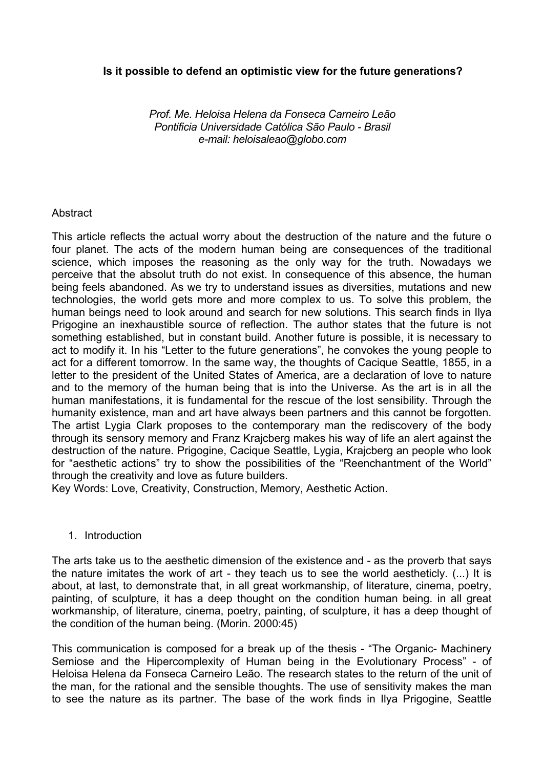# **Is it possible to defend an optimistic view for the future generations?**

*Prof. Me. Heloisa Helena da Fonseca Carneiro Leão Pontificia Universidade Católica São Paulo - Brasil e-mail: heloisaleao@globo.com* 

## **Abstract**

This article reflects the actual worry about the destruction of the nature and the future o four planet. The acts of the modern human being are consequences of the traditional science, which imposes the reasoning as the only way for the truth. Nowadays we perceive that the absolut truth do not exist. In consequence of this absence, the human being feels abandoned. As we try to understand issues as diversities, mutations and new technologies, the world gets more and more complex to us. To solve this problem, the human beings need to look around and search for new solutions. This search finds in Ilya Prigogine an inexhaustible source of reflection. The author states that the future is not something established, but in constant build. Another future is possible, it is necessary to act to modify it. In his "Letter to the future generations", he convokes the young people to act for a different tomorrow. In the same way, the thoughts of Cacique Seattle, 1855, in a letter to the president of the United States of America, are a declaration of love to nature and to the memory of the human being that is into the Universe. As the art is in all the human manifestations, it is fundamental for the rescue of the lost sensibility. Through the humanity existence, man and art have always been partners and this cannot be forgotten. The artist Lygia Clark proposes to the contemporary man the rediscovery of the body through its sensory memory and Franz Krajcberg makes his way of life an alert against the destruction of the nature. Prigogine, Cacique Seattle, Lygia, Krajcberg an people who look for "aesthetic actions" try to show the possibilities of the "Reenchantment of the World" through the creativity and love as future builders.

Key Words: Love, Creativity, Construction, Memory, Aesthetic Action.

## 1. Introduction

The arts take us to the aesthetic dimension of the existence and - as the proverb that says the nature imitates the work of art - they teach us to see the world aestheticly. (...) It is about, at last, to demonstrate that, in all great workmanship, of literature, cinema, poetry, painting, of sculpture, it has a deep thought on the condition human being. in all great workmanship, of literature, cinema, poetry, painting, of sculpture, it has a deep thought of the condition of the human being. (Morin. 2000:45)

This communication is composed for a break up of the thesis - "The Organic- Machinery Semiose and the Hipercomplexity of Human being in the Evolutionary Process" - of Heloisa Helena da Fonseca Carneiro Leão. The research states to the return of the unit of the man, for the rational and the sensible thoughts. The use of sensitivity makes the man to see the nature as its partner. The base of the work finds in Ilya Prigogine, Seattle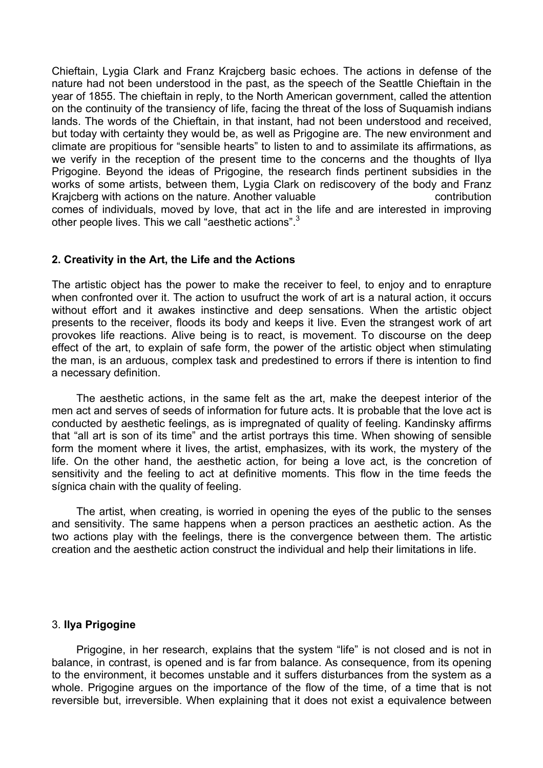Chieftain, Lygia Clark and Franz Krajcberg basic echoes. The actions in defense of the nature had not been understood in the past, as the speech of the Seattle Chieftain in the year of 1855. The chieftain in reply, to the North American government, called the attention on the continuity of the transiency of life, facing the threat of the loss of Suquamish indians lands. The words of the Chieftain, in that instant, had not been understood and received, but today with certainty they would be, as well as Prigogine are. The new environment and climate are propitious for "sensible hearts" to listen to and to assimilate its affirmations, as we verify in the reception of the present time to the concerns and the thoughts of Ilya Prigogine. Beyond the ideas of Prigogine, the research finds pertinent subsidies in the works of some artists, between them, Lygia Clark on rediscovery of the body and Franz Kraicberg with actions on the nature. Another valuable contribution comes of individuals, moved by love, that act in the life and are interested in improving other people lives. This we call "aesthetic actions".<sup>3</sup>

## **2. Creativity in the Art, the Life and the Actions**

The artistic object has the power to make the receiver to feel, to enjoy and to enrapture when confronted over it. The action to usufruct the work of art is a natural action, it occurs without effort and it awakes instinctive and deep sensations. When the artistic object presents to the receiver, floods its body and keeps it live. Even the strangest work of art provokes life reactions. Alive being is to react, is movement. To discourse on the deep effect of the art, to explain of safe form, the power of the artistic object when stimulating the man, is an arduous, complex task and predestined to errors if there is intention to find a necessary definition.

 The aesthetic actions, in the same felt as the art, make the deepest interior of the men act and serves of seeds of information for future acts. It is probable that the love act is conducted by aesthetic feelings, as is impregnated of quality of feeling. Kandinsky affirms that "all art is son of its time" and the artist portrays this time. When showing of sensible form the moment where it lives, the artist, emphasizes, with its work, the mystery of the life. On the other hand, the aesthetic action, for being a love act, is the concretion of sensitivity and the feeling to act at definitive moments. This flow in the time feeds the sígnica chain with the quality of feeling.

 The artist, when creating, is worried in opening the eyes of the public to the senses and sensitivity. The same happens when a person practices an aesthetic action. As the two actions play with the feelings, there is the convergence between them. The artistic creation and the aesthetic action construct the individual and help their limitations in life.

## 3. **Ilya Prigogine**

Prigogine, in her research, explains that the system "life" is not closed and is not in balance, in contrast, is opened and is far from balance. As consequence, from its opening to the environment, it becomes unstable and it suffers disturbances from the system as a whole. Prigogine argues on the importance of the flow of the time, of a time that is not reversible but, irreversible. When explaining that it does not exist a equivalence between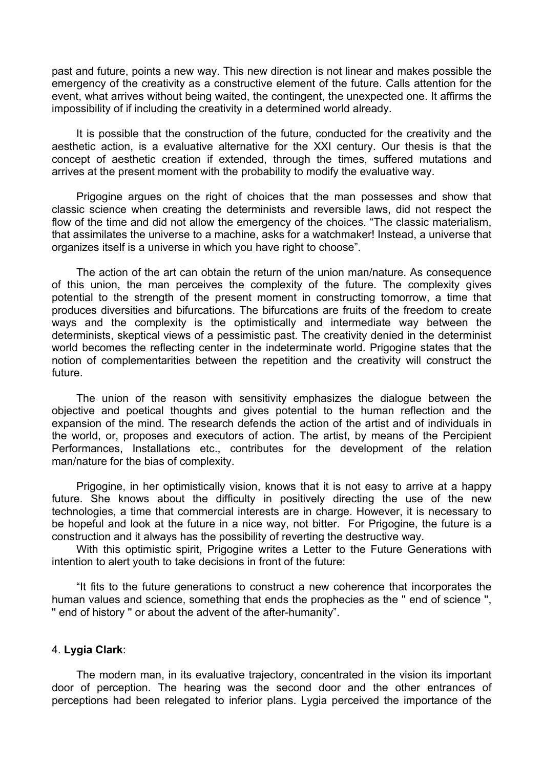past and future, points a new way. This new direction is not linear and makes possible the emergency of the creativity as a constructive element of the future. Calls attention for the event, what arrives without being waited, the contingent, the unexpected one. It affirms the impossibility of if including the creativity in a determined world already.

It is possible that the construction of the future, conducted for the creativity and the aesthetic action, is a evaluative alternative for the XXI century. Our thesis is that the concept of aesthetic creation if extended, through the times, suffered mutations and arrives at the present moment with the probability to modify the evaluative way.

Prigogine argues on the right of choices that the man possesses and show that classic science when creating the determinists and reversible laws, did not respect the flow of the time and did not allow the emergency of the choices. "The classic materialism, that assimilates the universe to a machine, asks for a watchmaker! Instead, a universe that organizes itself is a universe in which you have right to choose".

The action of the art can obtain the return of the union man/nature. As consequence of this union, the man perceives the complexity of the future. The complexity gives potential to the strength of the present moment in constructing tomorrow, a time that produces diversities and bifurcations. The bifurcations are fruits of the freedom to create ways and the complexity is the optimistically and intermediate way between the determinists, skeptical views of a pessimistic past. The creativity denied in the determinist world becomes the reflecting center in the indeterminate world. Prigogine states that the notion of complementarities between the repetition and the creativity will construct the future.

The union of the reason with sensitivity emphasizes the dialogue between the objective and poetical thoughts and gives potential to the human reflection and the expansion of the mind. The research defends the action of the artist and of individuals in the world, or, proposes and executors of action. The artist, by means of the Percipient Performances, Installations etc., contributes for the development of the relation man/nature for the bias of complexity.

Prigogine, in her optimistically vision, knows that it is not easy to arrive at a happy future. She knows about the difficulty in positively directing the use of the new technologies, a time that commercial interests are in charge. However, it is necessary to be hopeful and look at the future in a nice way, not bitter. For Prigogine, the future is a construction and it always has the possibility of reverting the destructive way.

With this optimistic spirit, Prigogine writes a Letter to the Future Generations with intention to alert youth to take decisions in front of the future:

"It fits to the future generations to construct a new coherence that incorporates the human values and science, something that ends the prophecies as the '' end of science '', '' end of history '' or about the advent of the after-humanity".

### 4. **Lygia Clark**:

The modern man, in its evaluative trajectory, concentrated in the vision its important door of perception. The hearing was the second door and the other entrances of perceptions had been relegated to inferior plans. Lygia perceived the importance of the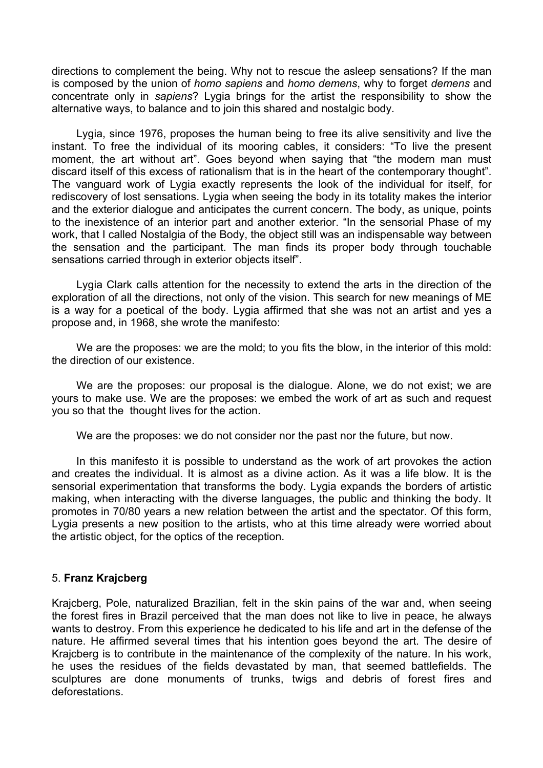directions to complement the being. Why not to rescue the asleep sensations? If the man is composed by the union of *homo sapiens* and *homo demens*, why to forget *demens* and concentrate only in *sapiens*? Lygia brings for the artist the responsibility to show the alternative ways, to balance and to join this shared and nostalgic body.

Lygia, since 1976, proposes the human being to free its alive sensitivity and live the instant. To free the individual of its mooring cables, it considers: "To live the present moment, the art without art". Goes beyond when saying that "the modern man must discard itself of this excess of rationalism that is in the heart of the contemporary thought". The vanguard work of Lygia exactly represents the look of the individual for itself, for rediscovery of lost sensations. Lygia when seeing the body in its totality makes the interior and the exterior dialogue and anticipates the current concern. The body, as unique, points to the inexistence of an interior part and another exterior. "In the sensorial Phase of my work, that I called Nostalgia of the Body, the object still was an indispensable way between the sensation and the participant. The man finds its proper body through touchable sensations carried through in exterior objects itself".

Lygia Clark calls attention for the necessity to extend the arts in the direction of the exploration of all the directions, not only of the vision. This search for new meanings of ME is a way for a poetical of the body. Lygia affirmed that she was not an artist and yes a propose and, in 1968, she wrote the manifesto:

We are the proposes: we are the mold; to you fits the blow, in the interior of this mold: the direction of our existence.

We are the proposes: our proposal is the dialogue. Alone, we do not exist; we are yours to make use. We are the proposes: we embed the work of art as such and request you so that the thought lives for the action.

We are the proposes: we do not consider nor the past nor the future, but now.

In this manifesto it is possible to understand as the work of art provokes the action and creates the individual. It is almost as a divine action. As it was a life blow. It is the sensorial experimentation that transforms the body. Lygia expands the borders of artistic making, when interacting with the diverse languages, the public and thinking the body. It promotes in 70/80 years a new relation between the artist and the spectator. Of this form, Lygia presents a new position to the artists, who at this time already were worried about the artistic object, for the optics of the reception.

## 5. **Franz Krajcberg**

Krajcberg, Pole, naturalized Brazilian, felt in the skin pains of the war and, when seeing the forest fires in Brazil perceived that the man does not like to live in peace, he always wants to destroy. From this experience he dedicated to his life and art in the defense of the nature. He affirmed several times that his intention goes beyond the art. The desire of Krajcberg is to contribute in the maintenance of the complexity of the nature. In his work, he uses the residues of the fields devastated by man, that seemed battlefields. The sculptures are done monuments of trunks, twigs and debris of forest fires and deforestations.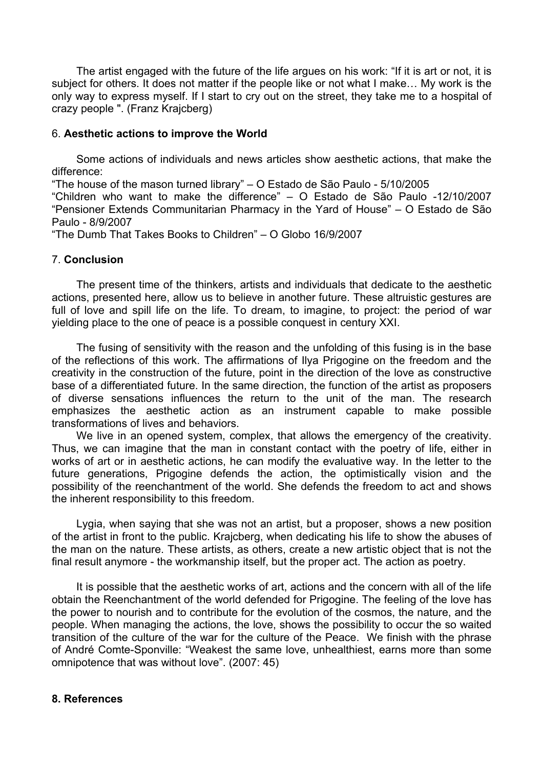The artist engaged with the future of the life argues on his work: "If it is art or not, it is subject for others. It does not matter if the people like or not what I make… My work is the only way to express myself. If I start to cry out on the street, they take me to a hospital of crazy people ". (Franz Krajcberg)

### 6. **Aesthetic actions to improve the World**

 Some actions of individuals and news articles show aesthetic actions, that make the difference:

"The house of the mason turned library" – O Estado de São Paulo - 5/10/2005

"Children who want to make the difference" – O Estado de São Paulo -12/10/2007 "Pensioner Extends Communitarian Pharmacy in the Yard of House" – O Estado de São Paulo - 8/9/2007

"The Dumb That Takes Books to Children" – O Globo 16/9/2007

### 7. **Conclusion**

 The present time of the thinkers, artists and individuals that dedicate to the aesthetic actions, presented here, allow us to believe in another future. These altruistic gestures are full of love and spill life on the life. To dream, to imagine, to project: the period of war yielding place to the one of peace is a possible conquest in century XXI.

 The fusing of sensitivity with the reason and the unfolding of this fusing is in the base of the reflections of this work. The affirmations of Ilya Prigogine on the freedom and the creativity in the construction of the future, point in the direction of the love as constructive base of a differentiated future. In the same direction, the function of the artist as proposers of diverse sensations influences the return to the unit of the man. The research emphasizes the aesthetic action as an instrument capable to make possible transformations of lives and behaviors.

 We live in an opened system, complex, that allows the emergency of the creativity. Thus, we can imagine that the man in constant contact with the poetry of life, either in works of art or in aesthetic actions, he can modify the evaluative way. In the letter to the future generations, Prigogine defends the action, the optimistically vision and the possibility of the reenchantment of the world. She defends the freedom to act and shows the inherent responsibility to this freedom.

 Lygia, when saying that she was not an artist, but a proposer, shows a new position of the artist in front to the public. Krajcberg, when dedicating his life to show the abuses of the man on the nature. These artists, as others, create a new artistic object that is not the final result anymore - the workmanship itself, but the proper act. The action as poetry.

 It is possible that the aesthetic works of art, actions and the concern with all of the life obtain the Reenchantment of the world defended for Prigogine. The feeling of the love has the power to nourish and to contribute for the evolution of the cosmos, the nature, and the people. When managing the actions, the love, shows the possibility to occur the so waited transition of the culture of the war for the culture of the Peace. We finish with the phrase of André Comte-Sponville: "Weakest the same love, unhealthiest, earns more than some omnipotence that was without love". (2007: 45)

#### **8. References**